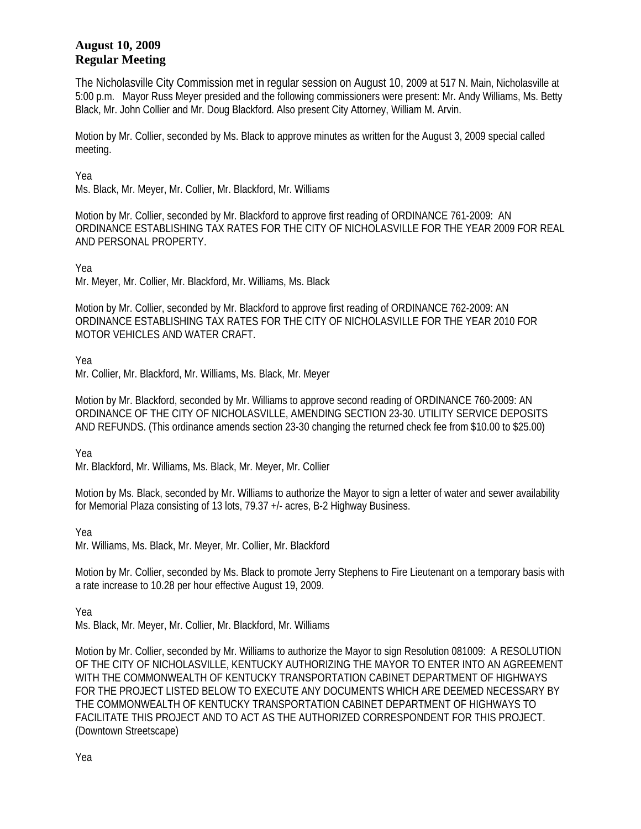## **August 10, 2009 Regular Meeting**

The Nicholasville City Commission met in regular session on August 10, 2009 at 517 N. Main, Nicholasville at 5:00 p.m. Mayor Russ Meyer presided and the following commissioners were present: Mr. Andy Williams, Ms. Betty Black, Mr. John Collier and Mr. Doug Blackford. Also present City Attorney, William M. Arvin.

Motion by Mr. Collier, seconded by Ms. Black to approve minutes as written for the August 3, 2009 special called meeting.

Yea

Ms. Black, Mr. Meyer, Mr. Collier, Mr. Blackford, Mr. Williams

Motion by Mr. Collier, seconded by Mr. Blackford to approve first reading of ORDINANCE 761-2009: AN ORDINANCE ESTABLISHING TAX RATES FOR THE CITY OF NICHOLASVILLE FOR THE YEAR 2009 FOR REAL AND PERSONAL PROPERTY.

Yea

Mr. Meyer, Mr. Collier, Mr. Blackford, Mr. Williams, Ms. Black

Motion by Mr. Collier, seconded by Mr. Blackford to approve first reading of ORDINANCE 762-2009: AN ORDINANCE ESTABLISHING TAX RATES FOR THE CITY OF NICHOLASVILLE FOR THE YEAR 2010 FOR MOTOR VEHICLES AND WATER CRAFT.

Yea

Mr. Collier, Mr. Blackford, Mr. Williams, Ms. Black, Mr. Meyer

Motion by Mr. Blackford, seconded by Mr. Williams to approve second reading of ORDINANCE 760-2009: AN ORDINANCE OF THE CITY OF NICHOLASVILLE, AMENDING SECTION 23-30. UTILITY SERVICE DEPOSITS AND REFUNDS. (This ordinance amends section 23-30 changing the returned check fee from \$10.00 to \$25.00)

Yea

Mr. Blackford, Mr. Williams, Ms. Black, Mr. Meyer, Mr. Collier

Motion by Ms. Black, seconded by Mr. Williams to authorize the Mayor to sign a letter of water and sewer availability for Memorial Plaza consisting of 13 lots, 79.37 +/- acres, B-2 Highway Business.

Yea

Mr. Williams, Ms. Black, Mr. Meyer, Mr. Collier, Mr. Blackford

Motion by Mr. Collier, seconded by Ms. Black to promote Jerry Stephens to Fire Lieutenant on a temporary basis with a rate increase to 10.28 per hour effective August 19, 2009.

Yea

Ms. Black, Mr. Meyer, Mr. Collier, Mr. Blackford, Mr. Williams

Motion by Mr. Collier, seconded by Mr. Williams to authorize the Mayor to sign Resolution 081009: A RESOLUTION OF THE CITY OF NICHOLASVILLE, KENTUCKY AUTHORIZING THE MAYOR TO ENTER INTO AN AGREEMENT WITH THE COMMONWEALTH OF KENTUCKY TRANSPORTATION CABINET DEPARTMENT OF HIGHWAYS FOR THE PROJECT LISTED BELOW TO EXECUTE ANY DOCUMENTS WHICH ARE DEEMED NECESSARY BY THE COMMONWEALTH OF KENTUCKY TRANSPORTATION CABINET DEPARTMENT OF HIGHWAYS TO FACILITATE THIS PROJECT AND TO ACT AS THE AUTHORIZED CORRESPONDENT FOR THIS PROJECT. (Downtown Streetscape)